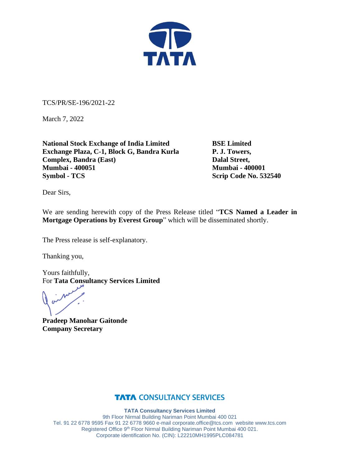

TCS/PR/SE-196/2021-22

March 7, 2022

**National Stock Exchange of India Limited BSE Limited Exchange Plaza, C-1, Block G, Bandra Kurla P. J. Towers, Complex, Bandra (East)** Dalal Street, **Mumbai - 400051 Mumbai - 400001 Symbol - TCS** Scrip Code No. 532540

Dear Sirs,

We are sending herewith copy of the Press Release titled "**TCS Named a Leader in Mortgage Operations by Everest Group**" which will be disseminated shortly.

The Press release is self-explanatory.

Thanking you,

Yours faithfully, For **Tata Consultancy Services Limited**

**Pradeep Manohar Gaitonde Company Secretary**

### **TATA CONSULTANCY SERVICES**

**TATA Consultancy Services Limited**

9th Floor Nirmal Building Nariman Point Mumbai 400 021 Tel. 91 22 6778 9595 Fax 91 22 6778 9660 e-mai[l corporate.office@tcs.com](mailto:corporate.office@tcs.com) website www.tcs.com Registered Office 9th Floor Nirmal Building Nariman Point Mumbai 400 021. Corporate identification No. (CIN): L22210MH1995PLC084781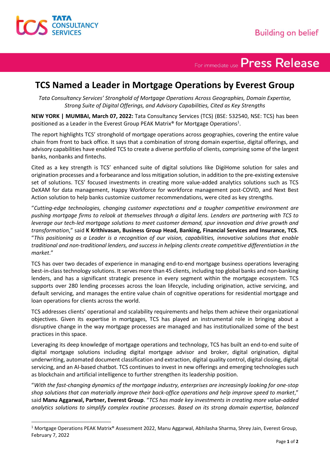

## For immediate use Press Release

### **TCS Named a Leader in Mortgage Operations by Everest Group**

*Tata Consultancy Services' Stronghold of Mortgage Operations Across Geographies, Domain Expertise, Strong Suite of Digital Offerings, and Advisory Capabilities, Cited as Key Strengths*

**NEW YORK | MUMBAI, March 07, 2022:** Tata Consultancy Services (TCS) (BSE: 532540, NSE: TCS) has been positioned as a Leader in the Everest Group PEAK Matrix® for Mortgage Operations<sup>1</sup>.

The report highlights TCS' stronghold of mortgage operations across geographies, covering the entire value chain from front to back office. It says that a combination of strong domain expertise, digital offerings, and advisory capabilities have enabled TCS to create a diverse portfolio of clients, comprising some of the largest banks, nonbanks and fintechs.

Cited as a key strength is TCS' enhanced suite of digital solutions like DigiHome solution for sales and origination processes and a forbearance and loss mitigation solution, in addition to the pre-existing extensive set of solutions. TCS' focused investments in creating more value-added analytics solutions such as TCS DeXAM for data management, Happy Workforce for workforce management post-COVID, and Next Best Action solution to help banks customize customer recommendations, were cited as key strengths.

"*Cutting-edge technologies, changing customer expectations and a tougher competitive environment are pushing mortgage firms to relook at themselves through a digital lens. Lenders are partnering with TCS to leverage our tech-led mortgage solutions to meet customer demand, spur innovation and drive growth and transformation*," said **K Krithivasan, Business Group Head, Banking, Financial Services and Insurance, TCS**. "*This positioning as a Leader is a recognition of our vision, capabilities, innovative solutions that enable traditional and non-traditional lenders, and success in helping clients create competitive differentiation in the market*."

TCS has over two decades of experience in managing end-to-end mortgage business operations leveraging best-in-class technology solutions. It serves more than 45 clients, including top global banks and non-banking lenders, and has a significant strategic presence in every segment within the mortgage ecosystem. TCS supports over 280 lending processes across the loan lifecycle, including origination, active servicing, and default servicing, and manages the entire value chain of cognitive operations for residential mortgage and loan operations for clients across the world.

TCS addresses clients' operational and scalability requirements and helps them achieve their organizational objectives. Given its expertise in mortgages, TCS has played an instrumental role in bringing about a disruptive change in the way mortgage processes are managed and has institutionalized some of the best practices in this space.

Leveraging its deep knowledge of mortgage operations and technology, TCS has built an end-to-end suite of digital mortgage solutions including digital mortgage advisor and broker, digital origination, digital underwriting, automated document classification and extraction, digital quality control, digital closing, digital servicing, and an AI-based chatbot. TCS continues to invest in new offerings and emerging technologies such as blockchain and artificial intelligence to further strengthen its leadership position.

"*With the fast-changing dynamics of the mortgage industry, enterprises are increasingly looking for one-stop shop solutions that can materially improve their back-office operations and help improve speed to market*," said **Manu Aggarwal, Partner, Everest Group**. "*TCS has made key investments in creating more value-added analytics solutions to simplify complex routine processes. Based on its strong domain expertise, balanced* 

<sup>1</sup> Mortgage Operations PEAK Matrix® Assessment 2022, Manu Aggarwal, Abhilasha Sharma, Shrey Jain, Everest Group, February 7, 2022